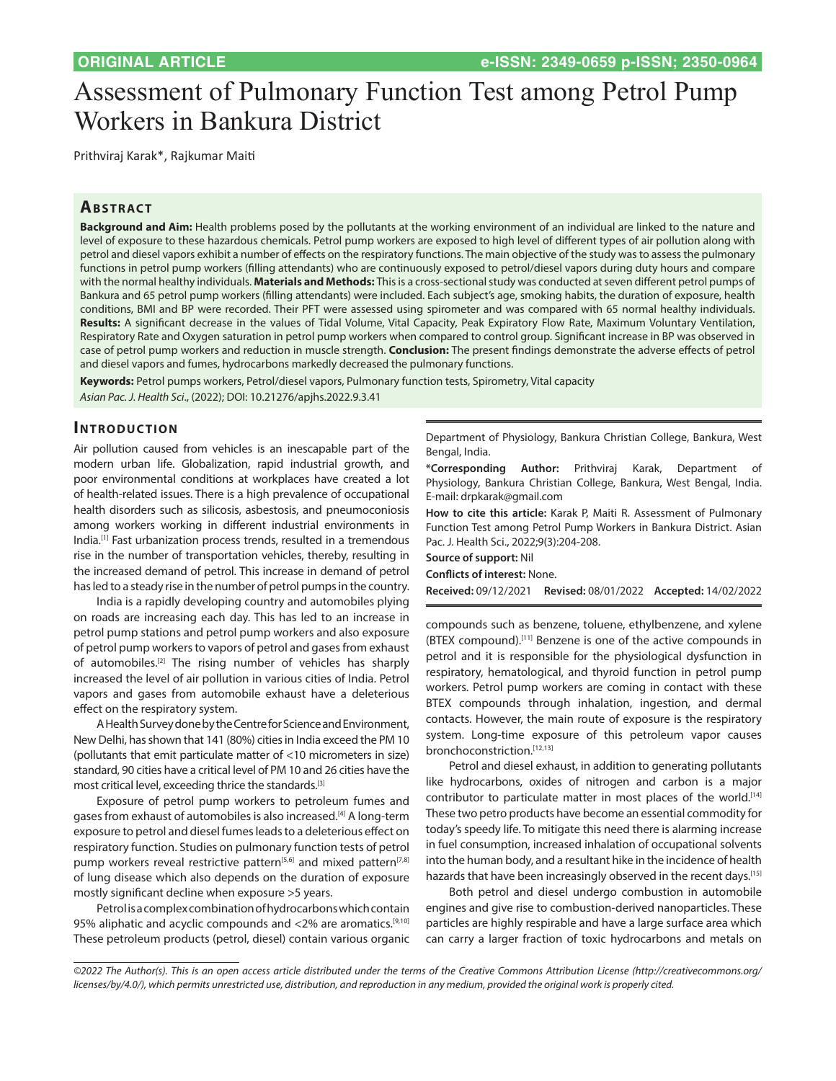# Assessment of Pulmonary Function Test among Petrol Pump Workers in Bankura District

Prithviraj Karak\*, Rajkumar Maiti

## **ABSTRACT**

**Background and Aim:** Health problems posed by the pollutants at the working environment of an individual are linked to the nature and level of exposure to these hazardous chemicals. Petrol pump workers are exposed to high level of different types of air pollution along with petrol and diesel vapors exhibit a number of effects on the respiratory functions. The main objective of the study was to assess the pulmonary functions in petrol pump workers (filling attendants) who are continuously exposed to petrol/diesel vapors during duty hours and compare with the normal healthy individuals. **Materials and Methods:** This is a cross-sectional study was conducted at seven different petrol pumps of Bankura and 65 petrol pump workers (filling attendants) were included. Each subject's age, smoking habits, the duration of exposure, health conditions, BMI and BP were recorded. Their PFT were assessed using spirometer and was compared with 65 normal healthy individuals. **Results:** A significant decrease in the values of Tidal Volume, Vital Capacity, Peak Expiratory Flow Rate, Maximum Voluntary Ventilation, Respiratory Rate and Oxygen saturation in petrol pump workers when compared to control group. Significant increase in BP was observed in case of petrol pump workers and reduction in muscle strength. **Conclusion:** The present findings demonstrate the adverse effects of petrol and diesel vapors and fumes, hydrocarbons markedly decreased the pulmonary functions.

**Keywords:** Petrol pumps workers, Petrol/diesel vapors, Pulmonary function tests, Spirometry, Vital capacity *Asian Pac. J. Health Sci*., (2022); DOI: 10.21276/apjhs.2022.9.3.41

#### **INTRODUCTION**

Air pollution caused from vehicles is an inescapable part of the modern urban life. Globalization, rapid industrial growth, and poor environmental conditions at workplaces have created a lot of health-related issues. There is a high prevalence of occupational health disorders such as silicosis, asbestosis, and pneumoconiosis among workers working in different industrial environments in India.[1] Fast urbanization process trends, resulted in a tremendous rise in the number of transportation vehicles, thereby, resulting in the increased demand of petrol. This increase in demand of petrol has led to a steady rise in the number of petrol pumps in the country.

India is a rapidly developing country and automobiles plying on roads are increasing each day. This has led to an increase in petrol pump stations and petrol pump workers and also exposure of petrol pump workers to vapors of petrol and gases from exhaust of automobiles.[2] The rising number of vehicles has sharply increased the level of air pollution in various cities of India. Petrol vapors and gases from automobile exhaust have a deleterious effect on the respiratory system.

A Health Survey done by the Centre for Science and Environment, New Delhi, has shown that 141 (80%) cities in India exceed the PM 10 (pollutants that emit particulate matter of <10 micrometers in size) standard, 90 cities have a critical level of PM 10 and 26 cities have the most critical level, exceeding thrice the standards.[3]

Exposure of petrol pump workers to petroleum fumes and gases from exhaust of automobiles is also increased.[4] A long-term exposure to petrol and diesel fumes leads to a deleterious effect on respiratory function. Studies on pulmonary function tests of petrol pump workers reveal restrictive pattern<sup>[5,6]</sup> and mixed pattern<sup>[7,8]</sup> of lung disease which also depends on the duration of exposure mostly significant decline when exposure >5 years.

Petrol is a complex combination of hydrocarbons which contain 95% aliphatic and acyclic compounds and <2% are aromatics.<sup>[9,10]</sup> These petroleum products (petrol, diesel) contain various organic

Department of Physiology, Bankura Christian College, Bankura, West Bengal, India.

**\*Corresponding Author:** Prithviraj Karak, Department of Physiology, Bankura Christian College, Bankura, West Bengal, India. E-mail: drpkarak@gmail.com

**How to cite this article:** Karak P, Maiti R. Assessment of Pulmonary Function Test among Petrol Pump Workers in Bankura District. Asian Pac. J. Health Sci., 2022;9(3):204-208.

**Source of support:** Nil

**Conflicts of interest:** None.

**Received:** 09/12/2021 **Revised:** 08/01/2022 **Accepted:** 14/02/2022

compounds such as benzene, toluene, ethylbenzene, and xylene (BTEX compound).[11] Benzene is one of the active compounds in petrol and it is responsible for the physiological dysfunction in respiratory, hematological, and thyroid function in petrol pump workers. Petrol pump workers are coming in contact with these BTEX compounds through inhalation, ingestion, and dermal contacts. However, the main route of exposure is the respiratory system. Long-time exposure of this petroleum vapor causes bronchoconstriction.<sup>[12,13]</sup>

Petrol and diesel exhaust, in addition to generating pollutants like hydrocarbons, oxides of nitrogen and carbon is a major contributor to particulate matter in most places of the world.[14] These two petro products have become an essential commodity for today's speedy life. To mitigate this need there is alarming increase in fuel consumption, increased inhalation of occupational solvents into the human body, and a resultant hike in the incidence of health hazards that have been increasingly observed in the recent days.[15]

Both petrol and diesel undergo combustion in automobile engines and give rise to combustion-derived nanoparticles. These particles are highly respirable and have a large surface area which can carry a larger fraction of toxic hydrocarbons and metals on

*<sup>©2022</sup> The Author(s). This is an open access article distributed under the terms of the Creative Commons Attribution License (http://creativecommons.org/ licenses/by/4.0/), which permits unrestricted use, distribution, and reproduction in any medium, provided the original work is properly cited.*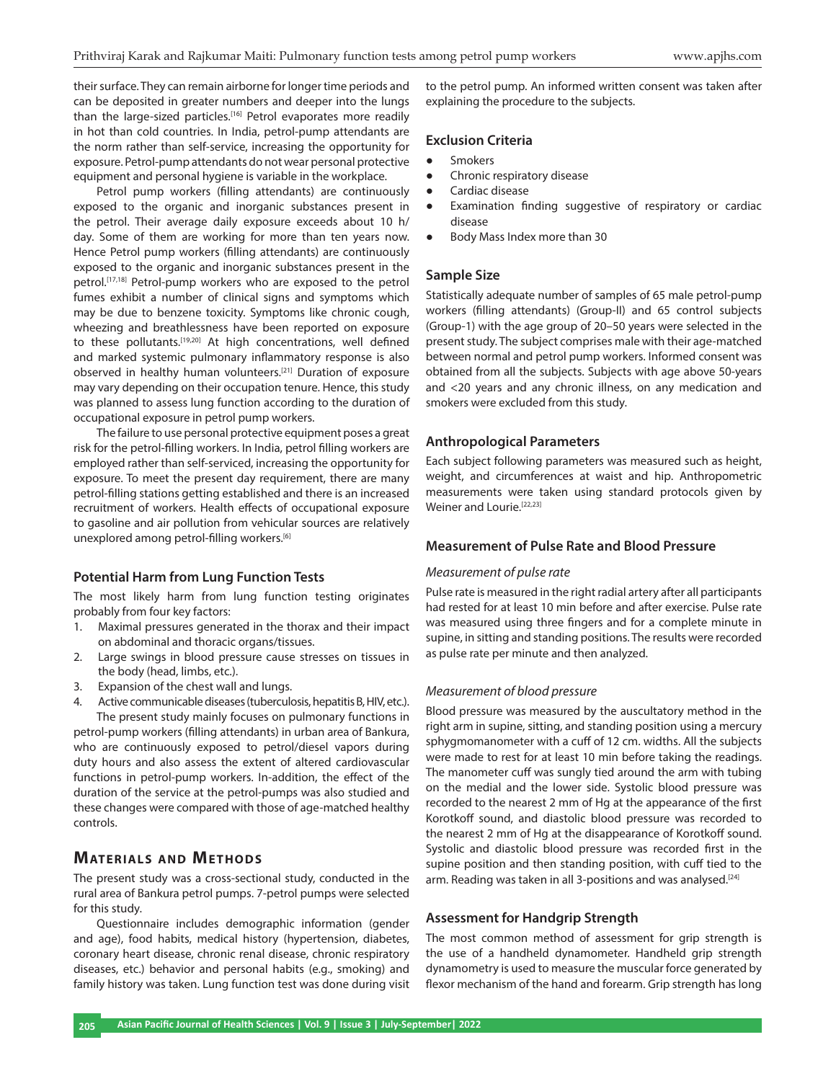their surface. They can remain airborne for longer time periods and can be deposited in greater numbers and deeper into the lungs than the large-sized particles.<sup>[16]</sup> Petrol evaporates more readily in hot than cold countries. In India, petrol-pump attendants are the norm rather than self-service, increasing the opportunity for exposure. Petrol-pump attendants do not wear personal protective equipment and personal hygiene is variable in the workplace.

Petrol pump workers (filling attendants) are continuously exposed to the organic and inorganic substances present in the petrol. Their average daily exposure exceeds about 10 h/ day. Some of them are working for more than ten years now. Hence Petrol pump workers (filling attendants) are continuously exposed to the organic and inorganic substances present in the petrol.<sup>[17,18]</sup> Petrol-pump workers who are exposed to the petrol fumes exhibit a number of clinical signs and symptoms which may be due to benzene toxicity. Symptoms like chronic cough, wheezing and breathlessness have been reported on exposure to these pollutants.[19,20] At high concentrations, well defined and marked systemic pulmonary inflammatory response is also observed in healthy human volunteers.[21] Duration of exposure may vary depending on their occupation tenure. Hence, this study was planned to assess lung function according to the duration of occupational exposure in petrol pump workers.

The failure to use personal protective equipment poses a great risk for the petrol-filling workers. In India, petrol filling workers are employed rather than self-serviced, increasing the opportunity for exposure. To meet the present day requirement, there are many petrol-filling stations getting established and there is an increased recruitment of workers. Health effects of occupational exposure to gasoline and air pollution from vehicular sources are relatively unexplored among petrol-filling workers.<sup>[6]</sup>

#### **Potential Harm from Lung Function Tests**

The most likely harm from lung function testing originates probably from four key factors:

- 1. Maximal pressures generated in the thorax and their impact on abdominal and thoracic organs/tissues.
- 2. Large swings in blood pressure cause stresses on tissues in the body (head, limbs, etc.).
- 3. Expansion of the chest wall and lungs.
- 4. Active communicable diseases (tuberculosis, hepatitis B, HIV, etc.). The present study mainly focuses on pulmonary functions in

petrol-pump workers (filling attendants) in urban area of Bankura, who are continuously exposed to petrol/diesel vapors during duty hours and also assess the extent of altered cardiovascular functions in petrol-pump workers. In-addition, the effect of the duration of the service at the petrol-pumps was also studied and these changes were compared with those of age-matched healthy controls.

# **MATERIALS AND METHODS**

The present study was a cross-sectional study, conducted in the rural area of Bankura petrol pumps. 7-petrol pumps were selected for this study.

Questionnaire includes demographic information (gender and age), food habits, medical history (hypertension, diabetes, coronary heart disease, chronic renal disease, chronic respiratory diseases, etc.) behavior and personal habits (e.g., smoking) and family history was taken. Lung function test was done during visit to the petrol pump. An informed written consent was taken after explaining the procedure to the subjects.

## **Exclusion Criteria**

- Smokers
- Chronic respiratory disease
- Cardiac disease
- Examination finding suggestive of respiratory or cardiac disease
- Body Mass Index more than 30

#### **Sample Size**

Statistically adequate number of samples of 65 male petrol-pump workers (filling attendants) (Group-II) and 65 control subjects (Group-1) with the age group of 20–50 years were selected in the present study. The subject comprises male with their age-matched between normal and petrol pump workers. Informed consent was obtained from all the subjects. Subjects with age above 50-years and <20 years and any chronic illness, on any medication and smokers were excluded from this study.

#### **Anthropological Parameters**

Each subject following parameters was measured such as height, weight, and circumferences at waist and hip. Anthropometric measurements were taken using standard protocols given by Weiner and Lourie.<sup>[22,23]</sup>

#### **Measurement of Pulse Rate and Blood Pressure**

#### *Measurement of pulse rate*

Pulse rate is measured in the right radial artery after all participants had rested for at least 10 min before and after exercise. Pulse rate was measured using three fingers and for a complete minute in supine, in sitting and standing positions. The results were recorded as pulse rate per minute and then analyzed.

#### *Measurement of blood pressure*

Blood pressure was measured by the auscultatory method in the right arm in supine, sitting, and standing position using a mercury sphygmomanometer with a cuff of 12 cm. widths. All the subjects were made to rest for at least 10 min before taking the readings. The manometer cuff was sungly tied around the arm with tubing on the medial and the lower side. Systolic blood pressure was recorded to the nearest 2 mm of Hg at the appearance of the first Korotkoff sound, and diastolic blood pressure was recorded to the nearest 2 mm of Hg at the disappearance of Korotkoff sound. Systolic and diastolic blood pressure was recorded first in the supine position and then standing position, with cuff tied to the arm. Reading was taken in all 3-positions and was analysed.<sup>[24]</sup>

#### **Assessment for Handgrip Strength**

The most common method of assessment for grip strength is the use of a handheld dynamometer. Handheld grip strength dynamometry is used to measure the muscular force generated by flexor mechanism of the hand and forearm. Grip strength has long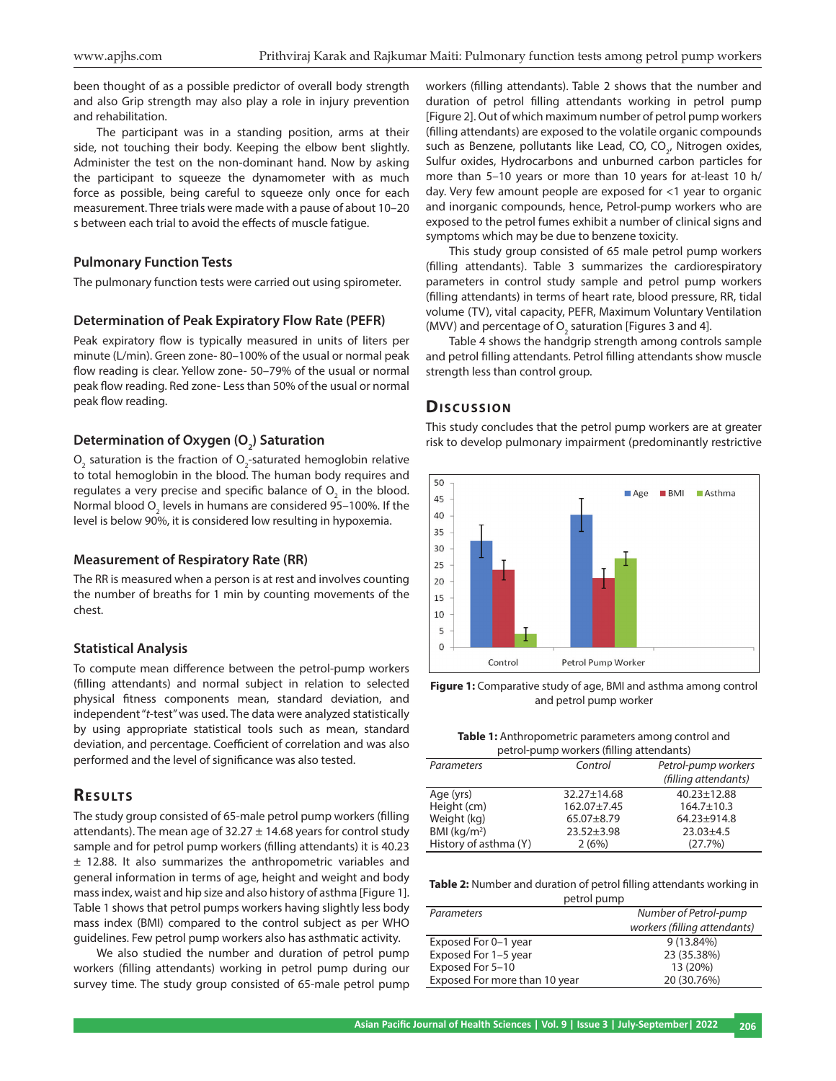been thought of as a possible predictor of overall body strength and also Grip strength may also play a role in injury prevention and rehabilitation.

The participant was in a standing position, arms at their side, not touching their body. Keeping the elbow bent slightly. Administer the test on the non-dominant hand. Now by asking the participant to squeeze the dynamometer with as much force as possible, being careful to squeeze only once for each measurement. Three trials were made with a pause of about 10–20 s between each trial to avoid the effects of muscle fatigue.

#### **Pulmonary Function Tests**

The pulmonary function tests were carried out using spirometer.

#### **Determination of Peak Expiratory Flow Rate (PEFR)**

Peak expiratory flow is typically measured in units of liters per minute (L/min). Green zone- 80–100% of the usual or normal peak flow reading is clear. Yellow zone- 50–79% of the usual or normal peak flow reading. Red zone- Less than 50% of the usual or normal peak flow reading.

# **Determination of Oxygen (O2 ) Saturation**

 $\overline{O}_2$  saturation is the fraction of  $\overline{O}_2$ -saturated hemoglobin relative to total hemoglobin in the blood. The human body requires and regulates a very precise and specific balance of  $\overline{O}_2$  in the blood. Normal blood  $\textsf{O}_{\textsf{2}}$  levels in humans are considered 95–100%. If the level is below 90%, it is considered low resulting in hypoxemia.

#### **Measurement of Respiratory Rate (RR)**

The RR is measured when a person is at rest and involves counting the number of breaths for 1 min by counting movements of the chest.

#### **Statistical Analysis**

To compute mean difference between the petrol-pump workers (filling attendants) and normal subject in relation to selected physical fitness components mean, standard deviation, and independent "*t*-test" was used. The data were analyzed statistically by using appropriate statistical tools such as mean, standard deviation, and percentage. Coefficient of correlation and was also performed and the level of significance was also tested.

## **RESULTS**

The study group consisted of 65-male petrol pump workers (filling attendants). The mean age of  $32.27 \pm 14.68$  years for control study sample and for petrol pump workers (filling attendants) it is 40.23 ± 12.88. It also summarizes the anthropometric variables and general information in terms of age, height and weight and body mass index, waist and hip size and also history of asthma [Figure 1]. Table 1 shows that petrol pumps workers having slightly less body mass index (BMI) compared to the control subject as per WHO guidelines. Few petrol pump workers also has asthmatic activity.

We also studied the number and duration of petrol pump workers (filling attendants) working in petrol pump during our survey time. The study group consisted of 65-male petrol pump workers (filling attendants). Table 2 shows that the number and duration of petrol filling attendants working in petrol pump [Figure 2]. Out of which maximum number of petrol pump workers (filling attendants) are exposed to the volatile organic compounds such as Benzene, pollutants like Lead, CO, CO<sub>2</sub>, Nitrogen oxides, Sulfur oxides, Hydrocarbons and unburned carbon particles for more than 5–10 years or more than 10 years for at-least 10 h/ day. Very few amount people are exposed for <1 year to organic and inorganic compounds, hence, Petrol-pump workers who are exposed to the petrol fumes exhibit a number of clinical signs and symptoms which may be due to benzene toxicity.

This study group consisted of 65 male petrol pump workers (filling attendants). Table 3 summarizes the cardiorespiratory parameters in control study sample and petrol pump workers (filling attendants) in terms of heart rate, blood pressure, RR, tidal volume (TV), vital capacity, PEFR, Maximum Voluntary Ventilation (MVV) and percentage of  $\mathrm{O}_2^{}$  saturation [Figures 3 and 4].

Table 4 shows the handgrip strength among controls sample and petrol filling attendants. Petrol filling attendants show muscle strength less than control group.

#### **Discussion**

This study concludes that the petrol pump workers are at greater risk to develop pulmonary impairment (predominantly restrictive



**Figure 1:** Comparative study of age, BMI and asthma among control and petrol pump worker

**Table 1:** Anthropometric parameters among control and petrol-pump workers (filling attendants)

| Parameters            | Control          | Petrol-pump workers  |  |  |
|-----------------------|------------------|----------------------|--|--|
|                       |                  | (filling attendants) |  |  |
| Age (yrs)             | 32.27±14.68      | 40.23±12.88          |  |  |
| Height (cm)           | 162.07±7.45      | $164.7 \pm 10.3$     |  |  |
| Weight (kg)           | 65.07±8.79       | $64.23 + 914.8$      |  |  |
| BMI ( $kq/m2$ )       | $23.52 \pm 3.98$ | $23.03 \pm 4.5$      |  |  |
| History of asthma (Y) | 2(6%)            | (27.7%)              |  |  |

**Table 2:** Number and duration of petrol filling attendants working in petrol pump

| petrol parrip                 |                              |
|-------------------------------|------------------------------|
| Parameters                    | Number of Petrol-pump        |
|                               | workers (filling attendants) |
| Exposed For 0-1 year          | $9(13.84\%)$                 |
| Exposed For 1-5 year          | 23 (35.38%)                  |
| Exposed For 5-10              | 13 (20%)                     |
| Exposed For more than 10 year | 20 (30.76%)                  |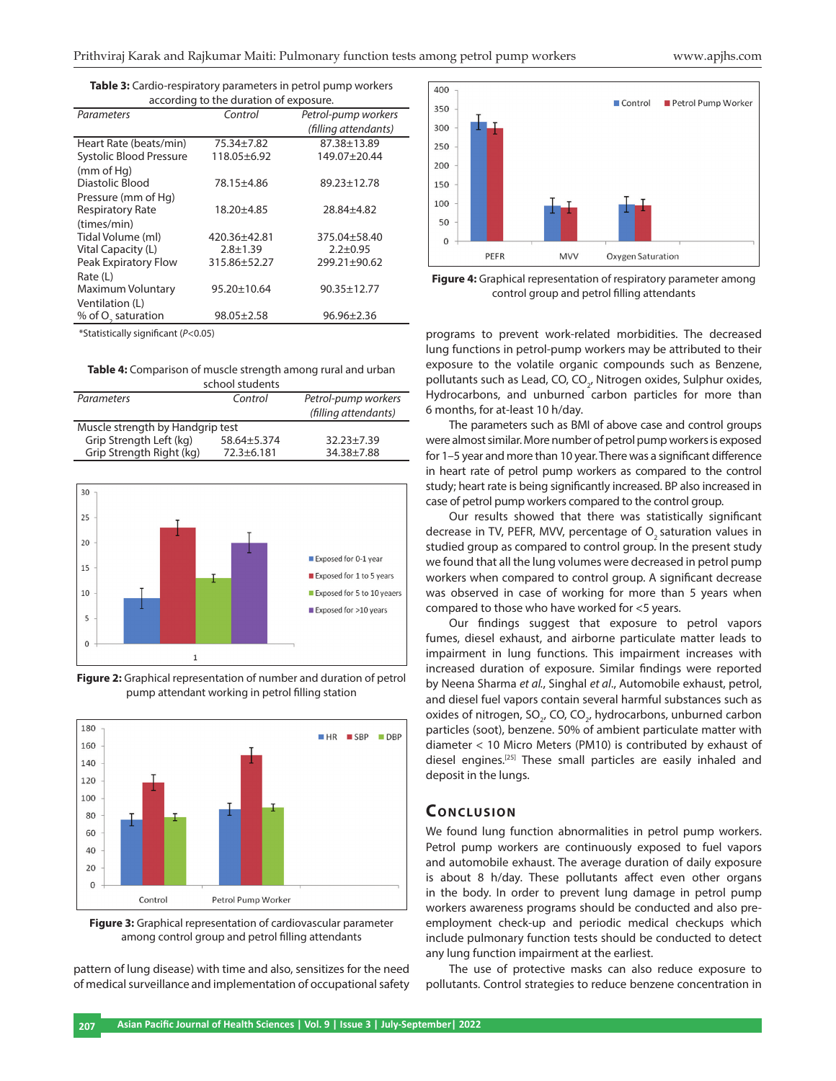| <b>Table 3:</b> Cardio-respiratory parameters in petrol pump workers |  |  |
|----------------------------------------------------------------------|--|--|
| according to the duration of exposure.                               |  |  |

| Parameters                     | Control           | Petrol-pump workers  |
|--------------------------------|-------------------|----------------------|
|                                |                   | (filling attendants) |
| Heart Rate (beats/min)         | 75.34±7.82        | 87.38±13.89          |
| Systolic Blood Pressure        | 118.05±6.92       | 149.07±20.44         |
| (mm of Hq)                     |                   |                      |
| Diastolic Blood                | 78.15±4.86        | 89.23±12.78          |
| Pressure (mm of Hg)            |                   |                      |
| <b>Respiratory Rate</b>        | 18.20±4.85        | 28.84+4.82           |
| (times/min)                    |                   |                      |
| Tidal Volume (ml)              | 420.36±42.81      | 375.04±58.40         |
| Vital Capacity (L)             | $2.8 \pm 1.39$    | $2.2 \pm 0.95$       |
| Peak Expiratory Flow           | 315.86±52.27      | 299.21±90.62         |
| Rate (L)                       |                   |                      |
| Maximum Voluntary              | $95.20 \pm 10.64$ | $90.35 \pm 12.77$    |
| Ventilation (L)                |                   |                      |
| % of O <sub>2</sub> saturation | $98.05 \pm 2.58$  | 96.96±2.36           |

\*Statistically significant (*P*<0.05)

**Table 4:** Comparison of muscle strength among rural and urban school students

| Parameters                       | Control          | Petrol-pump workers  |  |  |
|----------------------------------|------------------|----------------------|--|--|
|                                  |                  | (filling attendants) |  |  |
| Muscle strength by Handgrip test |                  |                      |  |  |
| Grip Strength Left (kg)          | 58.64+5.374      | $32.23 \pm 7.39$     |  |  |
| Grip Strength Right (kg)         | $72.3 \pm 6.181$ | 34.38±7.88           |  |  |



**Figure 2:** Graphical representation of number and duration of petrol pump attendant working in petrol filling station



**Figure 3:** Graphical representation of cardiovascular parameter among control group and petrol filling attendants

pattern of lung disease) with time and also, sensitizes for the need of medical surveillance and implementation of occupational safety



**Figure 4:** Graphical representation of respiratory parameter among control group and petrol filling attendants

programs to prevent work-related morbidities. The decreased lung functions in petrol-pump workers may be attributed to their exposure to the volatile organic compounds such as Benzene, pollutants such as Lead, CO, CO<sub>2</sub>, Nitrogen oxides, Sulphur oxides, Hydrocarbons, and unburned carbon particles for more than 6 months, for at-least 10 h/day.

The parameters such as BMI of above case and control groups were almost similar. More number of petrol pump workers is exposed for 1–5 year and more than 10 year. There was a significant difference in heart rate of petrol pump workers as compared to the control study; heart rate is being significantly increased. BP also increased in case of petrol pump workers compared to the control group.

Our results showed that there was statistically significant decrease in TV, PEFR, MVV, percentage of  $O<sub>2</sub>$  saturation values in studied group as compared to control group. In the present study we found that all the lung volumes were decreased in petrol pump workers when compared to control group. A significant decrease was observed in case of working for more than 5 years when compared to those who have worked for <5 years.

Our findings suggest that exposure to petrol vapors fumes, diesel exhaust, and airborne particulate matter leads to impairment in lung functions. This impairment increases with increased duration of exposure. Similar findings were reported by Neena Sharma *et al.*, Singhal *et al*., Automobile exhaust, petrol, and diesel fuel vapors contain several harmful substances such as oxides of nitrogen, SO<sub>2</sub>, CO, CO<sub>2</sub>, hydrocarbons, unburned carbon particles (soot), benzene. 50% of ambient particulate matter with diameter < 10 Micro Meters (PM10) is contributed by exhaust of diesel engines.[25] These small particles are easily inhaled and deposit in the lungs.

## **CONCLUSION**

We found lung function abnormalities in petrol pump workers. Petrol pump workers are continuously exposed to fuel vapors and automobile exhaust. The average duration of daily exposure is about 8 h/day. These pollutants affect even other organs in the body. In order to prevent lung damage in petrol pump workers awareness programs should be conducted and also preemployment check-up and periodic medical checkups which include pulmonary function tests should be conducted to detect any lung function impairment at the earliest.

The use of protective masks can also reduce exposure to pollutants. Control strategies to reduce benzene concentration in